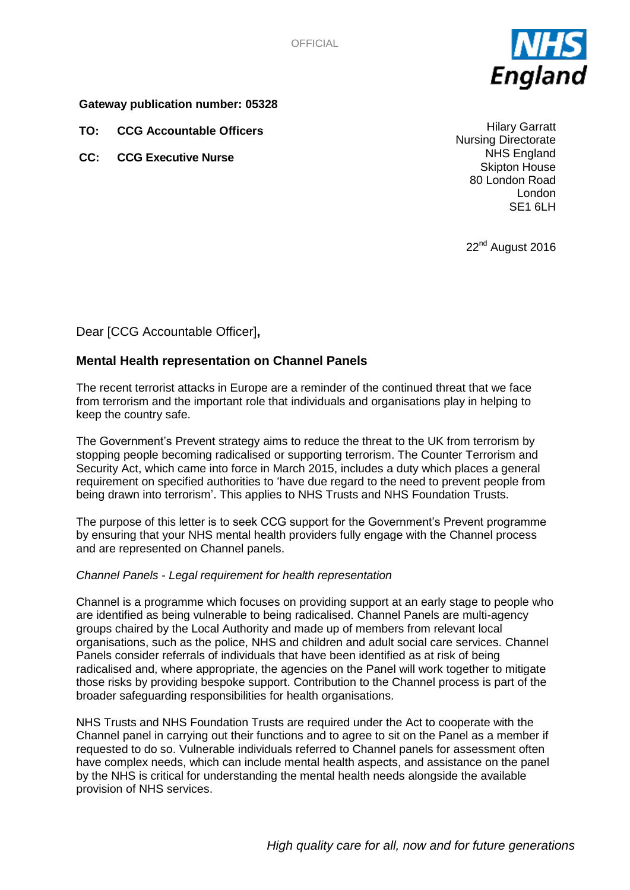OFFICIAL



### **Gateway publication number: 05328**

**TO: CCG Accountable Officers**

**CC: CCG Executive Nurse**

Hilary Garratt Nursing Directorate NHS England Skipton House 80 London Road London SE1 6LH

22<sup>nd</sup> August 2016

# Dear [CCG Accountable Officer]**,**

# **Mental Health representation on Channel Panels**

The recent terrorist attacks in Europe are a reminder of the continued threat that we face from terrorism and the important role that individuals and organisations play in helping to keep the country safe.

The Government's Prevent strategy aims to reduce the threat to the UK from terrorism by stopping people becoming radicalised or supporting terrorism. The Counter Terrorism and Security Act, which came into force in March 2015, includes a duty which places a general requirement on specified authorities to 'have due regard to the need to prevent people from being drawn into terrorism'. This applies to NHS Trusts and NHS Foundation Trusts.

The purpose of this letter is to seek CCG support for the Government's Prevent programme by ensuring that your NHS mental health providers fully engage with the Channel process and are represented on Channel panels.

#### *Channel Panels - Legal requirement for health representation*

Channel is a programme which focuses on providing support at an early stage to people who are identified as being vulnerable to being radicalised. Channel Panels are multi-agency groups chaired by the Local Authority and made up of members from relevant local organisations, such as the police, NHS and children and adult social care services. Channel Panels consider referrals of individuals that have been identified as at risk of being radicalised and, where appropriate, the agencies on the Panel will work together to mitigate those risks by providing bespoke support. Contribution to the Channel process is part of the broader safeguarding responsibilities for health organisations.

NHS Trusts and NHS Foundation Trusts are required under the Act to cooperate with the Channel panel in carrying out their functions and to agree to sit on the Panel as a member if requested to do so. Vulnerable individuals referred to Channel panels for assessment often have complex needs, which can include mental health aspects, and assistance on the panel by the NHS is critical for understanding the mental health needs alongside the available provision of NHS services.